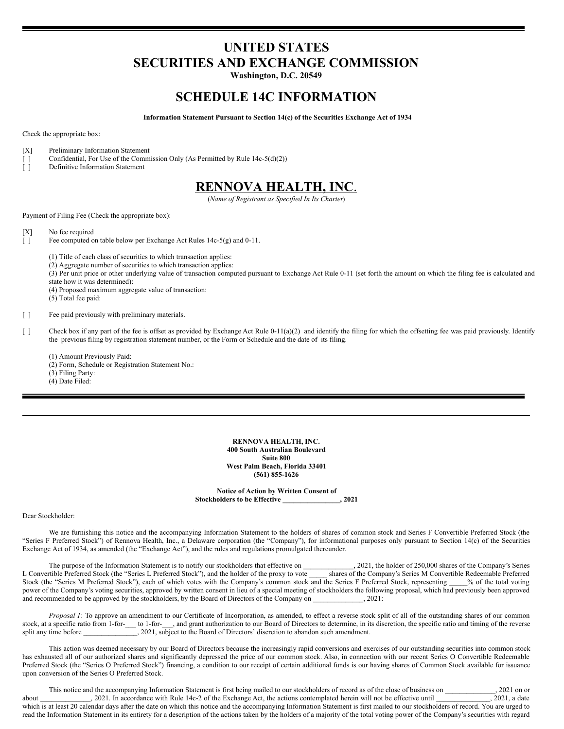# **UNITED STATES SECURITIES AND EXCHANGE COMMISSION**

**Washington, D.C. 20549**

# **SCHEDULE 14C INFORMATION**

**Information Statement Pursuant to Section 14(c) of the Securities Exchange Act of 1934**

Check the appropriate box:

- [X] Preliminary Information Statement
- [ ] Confidential, For Use of the Commission Only (As Permitted by Rule 14c-5(d)(2))
- [ ] Definitive Information Statement

# **RENNOVA HEALTH, INC**.

(*Name of Registrant as Specified In Its Charter*)

Payment of Filing Fee (Check the appropriate box):

- [X] No fee required
- [ ] Fee computed on table below per Exchange Act Rules 14c-5(g) and 0-11.
	- (1) Title of each class of securities to which transaction applies:
	- (2) Aggregate number of securities to which transaction applies:

(3) Per unit price or other underlying value of transaction computed pursuant to Exchange Act Rule 0-11 (set forth the amount on which the filing fee is calculated and state how it was determined):

(4) Proposed maximum aggregate value of transaction:

(5) Total fee paid:

[ ] Fee paid previously with preliminary materials.

[ ] Check box if any part of the fee is offset as provided by Exchange Act Rule 0-11(a)(2) and identify the filing for which the offsetting fee was paid previously. Identify the previous filing by registration statement number, or the Form or Schedule and the date of its filing.

(1) Amount Previously Paid:

- (2) Form, Schedule or Registration Statement No.:
- (3) Filing Party:

(4) Date Filed:

**RENNOVA HEALTH, INC. 400 South Australian Boulevard Suite 800 West Palm Beach, Florida 33401 (561) 855-1626**

**Notice of Action by Written Consent of Stockholders to be Effective \_\_\_\_\_\_\_\_\_\_\_\_\_\_\_\_, 2021**

#### Dear Stockholder:

We are furnishing this notice and the accompanying Information Statement to the holders of shares of common stock and Series F Convertible Preferred Stock (the "Series F Preferred Stock") of Rennova Health, Inc., a Delaware corporation (the "Company"), for informational purposes only pursuant to Section 14(c) of the Securities Exchange Act of 1934, as amended (the "Exchange Act"), and the rules and regulations promulgated thereunder.

The purpose of the Information Statement is to notify our stockholders that effective on 3021, the holder of 250,000 shares of the Company's Series<br>
tible Preferred Stock (the "Series L Preferred Stock"), and the holder of L Convertible Preferred Stock (the "Series L Preferred Stock"), and the holder of the proxy to vote Stock (the "Series M Preferred Stock"), each of which votes with the Company's common stock and the Series F Preferred Stock, representing \_\_\_\_\_% of the total voting power of the Company's voting securities, approved by written consent in lieu of a special meeting of stockholders the following proposal, which had previously been approved and recommended to be approved by the stockholders, by the Board of Directors of the Company on \_\_\_\_\_\_\_\_\_\_\_\_\_\_, 2021:

*Proposal 1*: To approve an amendment to our Certificate of Incorporation, as amended, to effect a reverse stock split of all of the outstanding shares of our common stock, at a specific ratio from 1-for-\_\_\_ to 1-for-\_\_\_, and grant authorization to our Board of Directors to determine, in its discretion, the specific ratio and timing of the reverse split any time before  $\overline{\phantom{a}}$ , 2021, subject to the Board of Directors' discretion to abandon such amendment.

This action was deemed necessary by our Board of Directors because the increasingly rapid conversions and exercises of our outstanding securities into common stock has exhausted all of our authorized shares and significantly depressed the price of our common stock. Also, in connection with our recent Series O Convertible Redeemable Preferred Stock (the "Series O Preferred Stock") financing, a condition to our receipt of certain additional funds is our having shares of Common Stock available for issuance upon conversion of the Series O Preferred Stock.

This notice and the accompanying Information Statement is first being mailed to our stockholders of record as of the close of business on  $.2021$  on or about 2021. In accordance with Rule 14c-2 of the Exchange Act, the actions contemplated herein will not be effective until \_\_\_\_\_\_\_\_\_\_\_\_\_\_, 2021, a date which is at least 20 calendar days after the date on which this notice and the accompanying Information Statement is first mailed to our stockholders of record. You are urged to read the Information Statement in its entirety for a description of the actions taken by the holders of a majority of the total voting power of the Company's securities with regard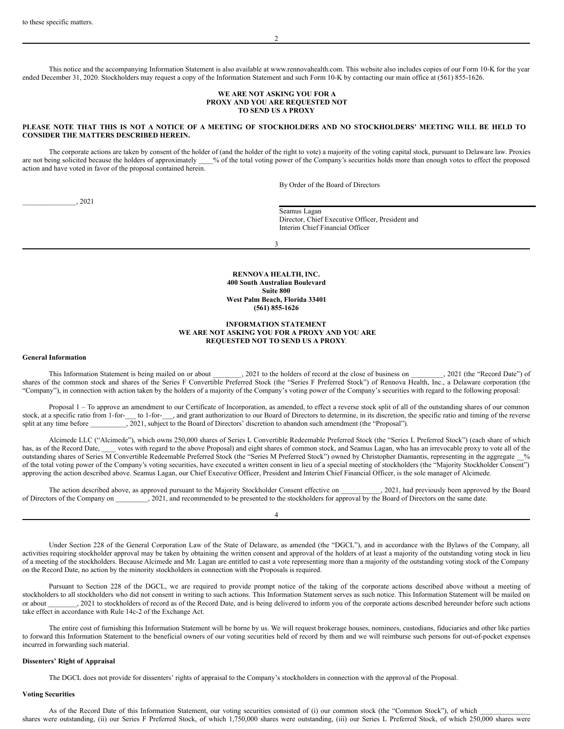This notice and the accompanying Information Statement is also available at www.rennovahealth.com. This website also includes copies of our Form 10-K for the year ended December 31, 2020. Stockholders may request a copy of the Information Statement and such Form 10-K by contacting our main office at (561) 855-1626.

#### **WE ARE NOT ASKING YOU FOR A PROXY AND YOU ARE REQUESTED NOT TO SEND US A PROXY**

## PLEASE NOTE THAT THIS IS NOT A NOTICE OF A MEETING OF STOCKHOLDERS AND NO STOCKHOLDERS' MEETING WILL BE HELD TO **CONSIDER THE MATTERS DESCRIBED HEREIN.**

The corporate actions are taken by consent of the holder of (and the holder of the right to vote) a majority of the voting capital stock, pursuant to Delaware law. Proxies are not being solicited because the holders of approximately \_\_\_% of the total voting power of the Company's securities holds more than enough votes to effect the proposed action and have voted in favor of the proposal contained herein.

By Order of the Board of Directors

\_\_\_\_\_\_\_\_\_\_\_\_\_\_\_, 2021

Seamus Lagan Director, Chief Executive Officer, President and Interim Chief Financial Officer

3

**RENNOVA HEALTH, INC. 400 South Australian Boulevard Suite 800 West Palm Beach, Florida 33401 (561) 855-1626**

# **INFORMATION STATEMENT WE ARE NOT ASKING YOU FOR A PROXY AND YOU ARE REQUESTED NOT TO SEND US A PROXY**.

# **General Information**

This Information Statement is being mailed on or about \_\_\_\_\_\_\_, 2021 to the holders of record at the close of business on \_\_\_\_\_\_\_, 2021 (the "Record Date") of shares of the common stock and shares of the Series F Convertible Preferred Stock (the "Series F Preferred Stock") of Rennova Health, Inc., a Delaware corporation (the "Company"), in connection with action taken by the holders of a majority of the Company's voting power of the Company's securities with regard to the following proposal:

Proposal 1 – To approve an amendment to our Certificate of Incorporation, as amended, to effect a reverse stock split of all of the outstanding shares of our common stock, at a specific ratio from 1-for-\_\_\_ to 1-for-\_\_\_, and grant authorization to our Board of Directors to determine, in its discretion, the specific ratio and timing of the reverse split at any time before  $\frac{2021}{100}$  $\frac{1}{2021}$ , subject to the Board of Directors' discretion to abandon such amendment (the "Proposal").

Alcimede LLC ("Alcimede"), which owns 250,000 shares of Series L Convertible Redeemable Preferred Stock (the "Series L Preferred Stock") (each share of which has, as of the Record Date, votes with regard to the above Proposal) and eight shares of common stock, and Seamus Lagan, who has an irrevocable proxy to vote all of the outstanding shares of Series M Convertible Redeemable Preferred Stock (the "Series M Preferred Stock") owned by Christopher Diamantis, representing in the aggregate \_\_% of the total voting power of the Company's voting securities, have executed a written consent in lieu of a special meeting of stockholders (the "Majority Stockholder Consent") approving the action described above. Seamus Lagan, our Chief Executive Officer, President and Interim Chief Financial Officer, is the sole manager of Alcimede.

The action described above, as approved pursuant to the Majority Stockholder Consent effective on \_\_\_\_\_\_\_\_\_, 2021, had previously been approved by the Board of Directors of the Company on \_\_\_\_\_\_\_\_\_, 2021, and recommended to be presented to the stockholders for approval by the Board of Directors on the same date.

4

Under Section 228 of the General Corporation Law of the State of Delaware, as amended (the "DGCL"), and in accordance with the Bylaws of the Company, all activities requiring stockholder approval may be taken by obtaining the written consent and approval of the holders of at least a majority of the outstanding voting stock in lieu of a meeting of the stockholders. Because Alcimede and Mr. Lagan are entitled to cast a vote representing more than a majority of the outstanding voting stock of the Company on the Record Date, no action by the minority stockholders in connection with the Proposals is required.

Pursuant to Section 228 of the DGCL, we are required to provide prompt notice of the taking of the corporate actions described above without a meeting of stockholders to all stockholders who did not consent in writing to such actions. This Information Statement serves as such notice. This Information Statement will be mailed on or about 2021 to stockholders of record as of or 2021 to stockholders of record as of the Record Date, and is being delivered to inform you of the corporate actions described hereunder before such actions take effect in accordance with Rule 14c-2 of the Exchange Act.

The entire cost of furnishing this Information Statement will be borne by us. We will request brokerage houses, nominees, custodians, fiduciaries and other like parties to forward this Information Statement to the beneficial owners of our voting securities held of record by them and we will reimburse such persons for out-of-pocket expenses incurred in forwarding such material.

#### **Dissenters' Right of Appraisal**

The DGCL does not provide for dissenters' rights of appraisal to the Company's stockholders in connection with the approval of the Proposal.

#### **Voting Securities**

As of the Record Date of this Information Statement, our voting securities consisted of (i) our common stock (the "Common Stock"), of which shares were outstanding, (ii) our Series F Preferred Stock, of which 1,750,000 shares were outstanding, (iii) our Series L Preferred Stock, of which 250,000 shares were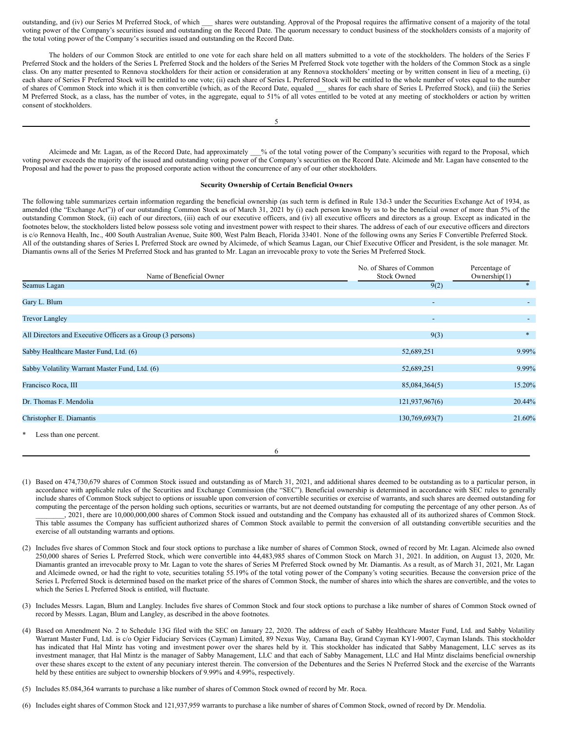outstanding, and (iv) our Series M Preferred Stock, of which \_\_\_ shares were outstanding. Approval of the Proposal requires the affirmative consent of a majority of the total voting power of the Company's securities issued and outstanding on the Record Date. The quorum necessary to conduct business of the stockholders consists of a majority of the total voting power of the Company's securities issued and outstanding on the Record Date.

The holders of our Common Stock are entitled to one vote for each share held on all matters submitted to a vote of the stockholders. The holders of the Series F Preferred Stock and the holders of the Series L Preferred Stock and the holders of the Series M Preferred Stock vote together with the holders of the Common Stock as a single class. On any matter presented to Rennova stockholders for their action or consideration at any Rennova stockholders' meeting or by written consent in lieu of a meeting, (i) each share of Series F Preferred Stock will be entitled to one vote; (ii) each share of Series L Preferred Stock will be entitled to the whole number of votes equal to the number of shares of Common Stock into which it is then convertible (which, as of the Record Date, equaled \_\_\_ shares for each share of Series L Preferred Stock), and (iii) the Series M Preferred Stock, as a class, has the number of votes, in the aggregate, equal to 51% of all votes entitled to be voted at any meeting of stockholders or action by written consent of stockholders.

Alcimede and Mr. Lagan, as of the Record Date, had approximately \_\_\_% of the total voting power of the Company's securities with regard to the Proposal, which voting power exceeds the majority of the issued and outstanding voting power of the Company's securities on the Record Date. Alcimede and Mr. Lagan have consented to the Proposal and had the power to pass the proposed corporate action without the concurrence of any of our other stockholders.

#### **Security Ownership of Certain Beneficial Owners**

The following table summarizes certain information regarding the beneficial ownership (as such term is defined in Rule 13d-3 under the Securities Exchange Act of 1934, as amended (the "Exchange Act")) of our outstanding Common Stock as of March 31, 2021 by (i) each person known by us to be the beneficial owner of more than 5% of the outstanding Common Stock, (ii) each of our directors, (iii) each of our executive officers, and (iv) all executive officers and directors as a group. Except as indicated in the footnotes below, the stockholders listed below possess sole voting and investment power with respect to their shares. The address of each of our executive officers and directors is c/o Rennova Health, Inc., 400 South Australian Avenue, Suite 800, West Palm Beach, Florida 33401. None of the following owns any Series F Convertible Preferred Stock. All of the outstanding shares of Series L Preferred Stock are owned by Alcimede, of which Seamus Lagan, our Chief Executive Officer and President, is the sole manager. Mr. Diamantis owns all of the Series M Preferred Stock and has granted to Mr. Lagan an irrevocable proxy to vote the Series M Preferred Stock.

| Name of Beneficial Owner                                    | No. of Shares of Common<br><b>Stock Owned</b> | Percentage of<br>Ownership(1) |
|-------------------------------------------------------------|-----------------------------------------------|-------------------------------|
| Seamus Lagan                                                | 9(2)                                          |                               |
| Gary L. Blum                                                |                                               | ٠                             |
| <b>Trevor Langley</b>                                       |                                               | $\sim$                        |
| All Directors and Executive Officers as a Group (3 persons) | 9(3)                                          | $*$                           |
| Sabby Healthcare Master Fund, Ltd. (6)                      | 52,689,251                                    | 9.99%                         |
| Sabby Volatility Warrant Master Fund, Ltd. (6)              | 52,689,251                                    | 9.99%                         |
| Francisco Roca, III                                         | 85,084,364(5)                                 | 15.20%                        |
| Dr. Thomas F. Mendolia                                      | 121,937,967(6)                                | 20.44%                        |
| Christopher E. Diamantis                                    | 130,769,693(7)                                | 21.60%                        |
| *<br>Less than one percent.                                 |                                               |                               |
| 6                                                           |                                               |                               |

- (1) Based on 474,730,679 shares of Common Stock issued and outstanding as of March 31, 2021, and additional shares deemed to be outstanding as to a particular person, in accordance with applicable rules of the Securities and Exchange Commission (the "SEC"). Beneficial ownership is determined in accordance with SEC rules to generally include shares of Common Stock subject to options or issuable upon conversion of convertible securities or exercise of warrants, and such shares are deemed outstanding for computing the percentage of the person holding such options, securities or warrants, but are not deemed outstanding for computing the percentage of any other person. As of \_\_\_\_\_\_\_\_, 2021, there are 10,000,000,000 shares of Common Stock issued and outstanding and the Company has exhausted all of its authorized shares of Common Stock. This table assumes the Company has sufficient authorized shares of Common Stock available to permit the conversion of all outstanding convertible securities and the exercise of all outstanding warrants and options.
- (2) Includes five shares of Common Stock and four stock options to purchase a like number of shares of Common Stock, owned of record by Mr. Lagan. Alcimede also owned 250,000 shares of Series L Preferred Stock, which were convertible into 44,483,985 shares of Common Stock on March 31, 2021. In addition, on August 13, 2020, Mr. Diamantis granted an irrevocable proxy to Mr. Lagan to vote the shares of Series M Preferred Stock owned by Mr. Diamantis. As a result, as of March 31, 2021, Mr. Lagan and Alcimede owned, or had the right to vote, securities totaling 55.19% of the total voting power of the Company's voting securities. Because the conversion price of the Series L Preferred Stock is determined based on the market price of the shares of Common Stock, the number of shares into which the shares are convertible, and the votes to which the Series L Preferred Stock is entitled, will fluctuate.
- (3) Includes Messrs. Lagan, Blum and Langley. Includes five shares of Common Stock and four stock options to purchase a like number of shares of Common Stock owned of record by Messrs. Lagan, Blum and Langley, as described in the above footnotes.
- (4) Based on Amendment No. 2 to Schedule 13G filed with the SEC on January 22, 2020. The address of each of Sabby Healthcare Master Fund, Ltd. and Sabby Volatility Warrant Master Fund, Ltd. is c/o Ogier Fiduciary Services (Cayman) Limited, 89 Nexus Way, Camana Bay, Grand Cayman KY1-9007, Cayman Islands. This stockholder has indicated that Hal Mintz has voting and investment power over the shares held by it. This stockholder has indicated that Sabby Management, LLC serves as its investment manager, that Hal Mintz is the manager of Sabby Management, LLC and that each of Sabby Management, LLC and Hal Mintz disclaims beneficial ownership over these shares except to the extent of any pecuniary interest therein. The conversion of the Debentures and the Series N Preferred Stock and the exercise of the Warrants held by these entities are subject to ownership blockers of 9.99% and 4.99%, respectively.
- (5) Includes 85.084,364 warrants to purchase a like number of shares of Common Stock owned of record by Mr. Roca.
- (6) Includes eight shares of Common Stock and 121,937,959 warrants to purchase a like number of shares of Common Stock, owned of record by Dr. Mendolia.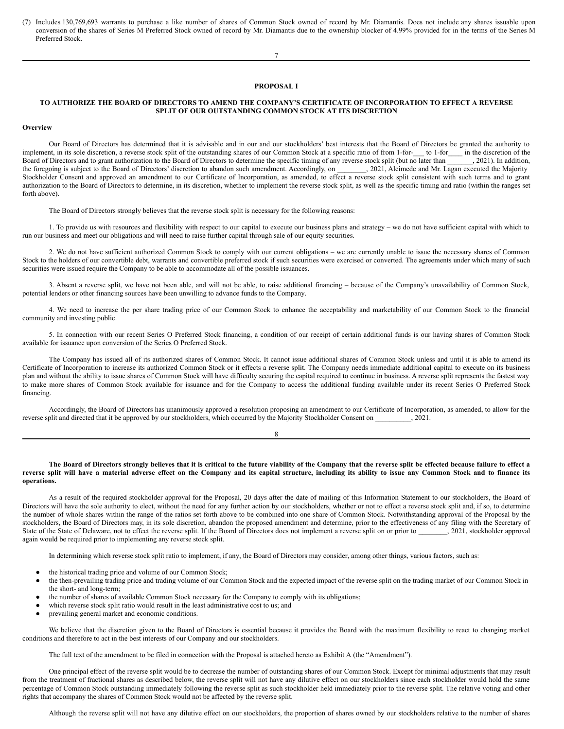(7) Includes 130,769,693 warrants to purchase a like number of shares of Common Stock owned of record by Mr. Diamantis. Does not include any shares issuable upon conversion of the shares of Series M Preferred Stock owned of record by Mr. Diamantis due to the ownership blocker of 4.99% provided for in the terms of the Series M Preferred Stock.

#### **PROPOSAL I**

7

# TO AUTHORIZE THE BOARD OF DIRECTORS TO AMEND THE COMPANY'S CERTIFICATE OF INCORPORATION TO EFFECT A REVERSE **SPLIT OF OUR OUTSTANDING COMMON STOCK AT ITS DISCRETION**

#### **Overview**

Our Board of Directors has determined that it is advisable and in our and our stockholders' best interests that the Board of Directors be granted the authority to implement, in its sole discretion, a reverse stock split of the outstanding shares of our Common Stock at a specific ratio of from 1-for-\_\_\_ to 1-for\_\_\_\_ in the discretion of the Board of Directors and to grant authorization to the Board of Directors to determine the specific timing of any reverse stock split (but no later than  $\overline{\phantom{a}}$ , 2021). In addition, the foregoing is subject to the Board of Directors' discretion to abandon such amendment. Accordingly, on \_\_\_\_\_\_\_, 2021, Alcimede and Mr. Lagan executed the Majority Stockholder Consent and approved an amendment to our Certificate of Incorporation, as amended, to effect a reverse stock split consistent with such terms and to grant authorization to the Board of Directors to determine, in its discretion, whether to implement the reverse stock split, as well as the specific timing and ratio (within the ranges set forth above).

The Board of Directors strongly believes that the reverse stock split is necessary for the following reasons:

1. To provide us with resources and flexibility with respect to our capital to execute our business plans and strategy – we do not have sufficient capital with which to run our business and meet our obligations and will need to raise further capital through sale of our equity securities.

2. We do not have sufficient authorized Common Stock to comply with our current obligations – we are currently unable to issue the necessary shares of Common Stock to the holders of our convertible debt, warrants and convertible preferred stock if such securities were exercised or converted. The agreements under which many of such securities were issued require the Company to be able to accommodate all of the possible issuances.

3. Absent a reverse split, we have not been able, and will not be able, to raise additional financing – because of the Company's unavailability of Common Stock, potential lenders or other financing sources have been unwilling to advance funds to the Company.

4. We need to increase the per share trading price of our Common Stock to enhance the acceptability and marketability of our Common Stock to the financial community and investing public.

5. In connection with our recent Series O Preferred Stock financing, a condition of our receipt of certain additional funds is our having shares of Common Stock available for issuance upon conversion of the Series O Preferred Stock.

The Company has issued all of its authorized shares of Common Stock. It cannot issue additional shares of Common Stock unless and until it is able to amend its Certificate of Incorporation to increase its authorized Common Stock or it effects a reverse split. The Company needs immediate additional capital to execute on its business plan and without the ability to issue shares of Common Stock will have difficulty securing the capital required to continue in business. A reverse split represents the fastest way to make more shares of Common Stock available for issuance and for the Company to access the additional funding available under its recent Series O Preferred Stock financing.

Accordingly, the Board of Directors has unanimously approved a resolution proposing an amendment to our Certificate of Incorporation, as amended, to allow for the reverse split and directed that it be approved by our stockholders, which occurred by the Majority Stockholder Consent on  $.2021.$ 

8

# The Board of Directors strongly believes that it is critical to the future viability of the Company that the reverse split be effected because failure to effect a reverse split will have a material adverse effect on the Company and its capital structure, including its ability to issue any Common Stock and to finance its **operations.**

As a result of the required stockholder approval for the Proposal, 20 days after the date of mailing of this Information Statement to our stockholders, the Board of Directors will have the sole authority to elect, without the need for any further action by our stockholders, whether or not to effect a reverse stock split and, if so, to determine the number of whole shares within the range of the ratios set forth above to be combined into one share of Common Stock. Notwithstanding approval of the Proposal by the stockholders, the Board of Directors may, in its sole discretion, abandon the proposed amendment and determine, prior to the effectiveness of any filing with the Secretary of State of the State of Delaware, not to effect the reverse split. If the Board of Directors does not implement a reverse split on or prior to \_\_\_\_\_\_\_\_\_\_, 2021, stockholder approval again would be required prior to implementing any reverse stock split.

In determining which reverse stock split ratio to implement, if any, the Board of Directors may consider, among other things, various factors, such as:

- the historical trading price and volume of our Common Stock;
- the then-prevailing trading price and trading volume of our Common Stock and the expected impact of the reverse split on the trading market of our Common Stock in the short- and long-term;
- the number of shares of available Common Stock necessary for the Company to comply with its obligations;
- which reverse stock split ratio would result in the least administrative cost to us; and
- prevailing general market and economic conditions.

We believe that the discretion given to the Board of Directors is essential because it provides the Board with the maximum flexibility to react to changing market conditions and therefore to act in the best interests of our Company and our stockholders.

The full text of the amendment to be filed in connection with the Proposal is attached hereto as Exhibit A (the "Amendment").

One principal effect of the reverse split would be to decrease the number of outstanding shares of our Common Stock. Except for minimal adjustments that may result from the treatment of fractional shares as described below, the reverse split will not have any dilutive effect on our stockholders since each stockholder would hold the same percentage of Common Stock outstanding immediately following the reverse split as such stockholder held immediately prior to the reverse split. The relative voting and other rights that accompany the shares of Common Stock would not be affected by the reverse split.

Although the reverse split will not have any dilutive effect on our stockholders, the proportion of shares owned by our stockholders relative to the number of shares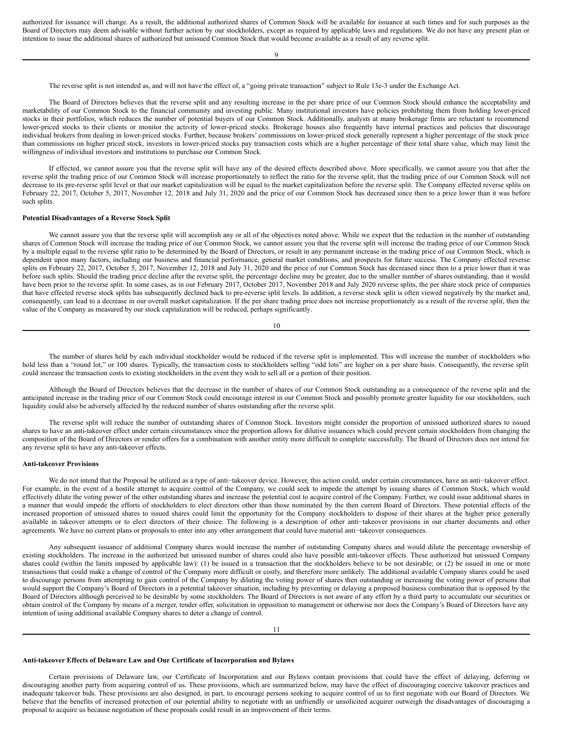authorized for issuance will change. As a result, the additional authorized shares of Common Stock will be available for issuance at such times and for such purposes as the Board of Directors may deem advisable without further action by our stockholders, except as required by applicable laws and regulations. We do not have any present plan or intention to issue the additional shares of authorized but unissued Common Stock that would become available as a result of any reverse split.

 $\overline{Q}$ 

The reverse split is not intended as, and will not have the effect of, a "going private transaction" subject to Rule 13e-3 under the Exchange Act.

The Board of Directors believes that the reverse split and any resulting increase in the per share price of our Common Stock should enhance the acceptability and marketability of our Common Stock to the financial community and investing public. Many institutional investors have policies prohibiting them from holding lower-priced stocks in their portfolios, which reduces the number of potential buyers of our Common Stock. Additionally, analysts at many brokerage firms are reluctant to recommend lower-priced stocks to their clients or monitor the activity of lower-priced stocks. Brokerage houses also frequently have internal practices and policies that discourage individual brokers from dealing in lower-priced stocks. Further, because brokers' commissions on lower-priced stock generally represent a higher percentage of the stock price than commissions on higher priced stock, investors in lower-priced stocks pay transaction costs which are a higher percentage of their total share value, which may limit the willingness of individual investors and institutions to purchase our Common Stock.

If effected, we cannot assure you that the reverse split will have any of the desired effects described above. More specifically, we cannot assure you that after the reverse split the trading price of our Common Stock will increase proportionately to reflect the ratio for the reverse split, that the trading price of our Common Stock will not decrease to its pre-reverse split level or that our market capitalization will be equal to the market capitalization before the reverse split. The Company effected reverse splits on February 22, 2017, October 5, 2017, November 12, 2018 and July 31, 2020 and the price of our Common Stock has decreased since then to a price lower than it was before such splits.

# **Potential Disadvantages of a Reverse Stock Split**

We cannot assure you that the reverse split will accomplish any or all of the objectives noted above. While we expect that the reduction in the number of outstanding shares of Common Stock will increase the trading price of our Common Stock, we cannot assure you that the reverse split will increase the trading price of our Common Stock by a multiple equal to the reverse split ratio to be determined by the Board of Directors, or result in any permanent increase in the trading price of our Common Stock, which is dependent upon many factors, including our business and financial performance, general market conditions, and prospects for future success. The Company effected reverse splits on February 22, 2017, October 5, 2017, November 12, 2018 and July 31, 2020 and the price of our Common Stock has decreased since then to a price lower than it was before such splits. Should the trading price decline after the reverse split, the percentage decline may be greater, due to the smaller number of shares outstanding, than it would have been prior to the reverse split. In some cases, as in our February 2017, October 2017, November 2018 and July 2020 reverse splits, the per share stock price of companies that have effected reverse stock splits has subsequently declined back to pre-reverse split levels. In addition, a reverse stock split is often viewed negatively by the market and, consequently, can lead to a decrease in our overall market capitalization. If the per share trading price does not increase proportionately as a result of the reverse split, then the value of the Company as measured by our stock capitalization will be reduced, perhaps significantly.

10

The number of shares held by each individual stockholder would be reduced if the reverse split is implemented. This will increase the number of stockholders who hold less than a "round lot," or 100 shares. Typically, the transaction costs to stockholders selling "odd lots" are higher on a per share basis. Consequently, the reverse split could increase the transaction costs to existing stockholders in the event they wish to sell all or a portion of their position.

Although the Board of Directors believes that the decrease in the number of shares of our Common Stock outstanding as a consequence of the reverse split and the anticipated increase in the trading price of our Common Stock could encourage interest in our Common Stock and possibly promote greater liquidity for our stockholders, such liquidity could also be adversely affected by the reduced number of shares outstanding after the reverse split.

The reverse split will reduce the number of outstanding shares of Common Stock. Investors might consider the proportion of unissued authorized shares to issued shares to have an anti-takeover effect under certain circumstances since the proportion allows for dilutive issuances which could prevent certain stockholders from changing the composition of the Board of Directors or render offers for a combination with another entity more difficult to complete successfully. The Board of Directors does not intend for any reverse split to have any anti-takeover effects.

# **Anti-takeover Provisions**

We do not intend that the Proposal be utilized as a type of anti−takeover device. However, this action could, under certain circumstances, have an anti−takeover effect. For example, in the event of a hostile attempt to acquire control of the Company, we could seek to impede the attempt by issuing shares of Common Stock, which would effectively dilute the voting power of the other outstanding shares and increase the potential cost to acquire control of the Company. Further, we could issue additional shares in a manner that would impede the efforts of stockholders to elect directors other than those nominated by the then current Board of Directors. These potential effects of the increased proportion of unissued shares to issued shares could limit the opportunity for the Company stockholders to dispose of their shares at the higher price generally available in takeover attempts or to elect directors of their choice. The following is a description of other anti−takeover provisions in our charter documents and other agreements. We have no current plans or proposals to enter into any other arrangement that could have material anti−takeover consequences.

Any subsequent issuance of additional Company shares would increase the number of outstanding Company shares and would dilute the percentage ownership of existing stockholders. The increase in the authorized but unissued number of shares could also have possible anti-takeover effects. These authorized but unissued Company shares could (within the limits imposed by applicable law): (1) be issued in a transaction that the stockholders believe to be not desirable; or (2) be issued in one or more transactions that could make a change of control of the Company more difficult or costly, and therefore more unlikely. The additional available Company shares could be used to discourage persons from attempting to gain control of the Company by diluting the voting power of shares then outstanding or increasing the voting power of persons that would support the Company's Board of Directors in a potential takeover situation, including by preventing or delaying a proposed business combination that is opposed by the Board of Directors although perceived to be desirable by some stockholders. The Board of Directors is not aware of any effort by a third party to accumulate our securities or obtain control of the Company by means of a merger, tender offer, solicitation in opposition to management or otherwise nor does the Company's Board of Directors have any intention of using additional available Company shares to deter a change of control.

#### **Anti-takeover Effects of Delaware Law and Our Certificate of Incorporation and Bylaws**

Certain provisions of Delaware law, our Certificate of Incorporation and our Bylaws contain provisions that could have the effect of delaying, deferring or discouraging another party from acquiring control of us. These provisions, which are summarized below, may have the effect of discouraging coercive takeover practices and inadequate takeover bids. These provisions are also designed, in part, to encourage persons seeking to acquire control of us to first negotiate with our Board of Directors. We believe that the benefits of increased protection of our potential ability to negotiate with an unfriendly or unsolicited acquirer outweigh the disadvantages of discouraging a proposal to acquire us because negotiation of these proposals could result in an improvement of their terms.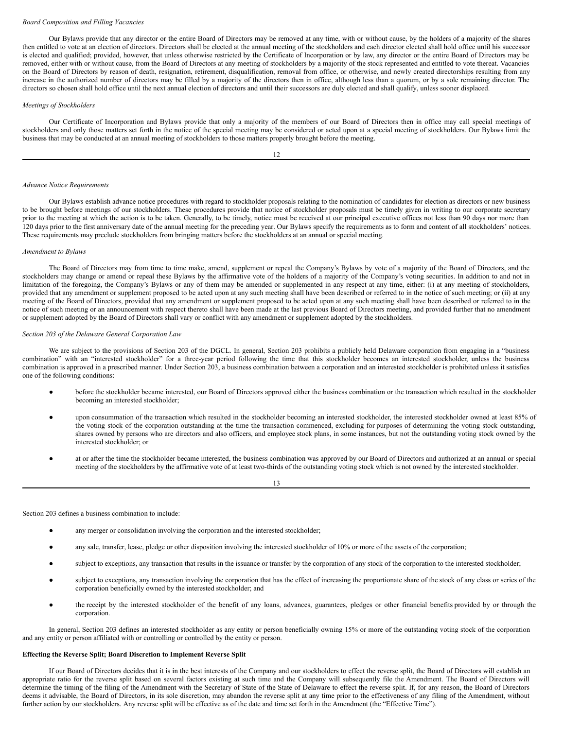#### *Board Composition and Filling Vacancies*

Our Bylaws provide that any director or the entire Board of Directors may be removed at any time, with or without cause, by the holders of a majority of the shares then entitled to vote at an election of directors. Directors shall be elected at the annual meeting of the stockholders and each director elected shall hold office until his successor is elected and qualified; provided, however, that unless otherwise restricted by the Certificate of Incorporation or by law, any director or the entire Board of Directors may be removed, either with or without cause, from the Board of Directors at any meeting of stockholders by a majority of the stock represented and entitled to vote thereat. Vacancies on the Board of Directors by reason of death, resignation, retirement, disqualification, removal from office, or otherwise, and newly created directorships resulting from any increase in the authorized number of directors may be filled by a majority of the directors then in office, although less than a quorum, or by a sole remaining director. The directors so chosen shall hold office until the next annual election of directors and until their successors are duly elected and shall qualify, unless sooner displaced.

# *Meetings of Stockholders*

Our Certificate of Incorporation and Bylaws provide that only a majority of the members of our Board of Directors then in office may call special meetings of stockholders and only those matters set forth in the notice of the special meeting may be considered or acted upon at a special meeting of stockholders. Our Bylaws limit the business that may be conducted at an annual meeting of stockholders to those matters properly brought before the meeting.

12

#### *Advance Notice Requirements*

Our Bylaws establish advance notice procedures with regard to stockholder proposals relating to the nomination of candidates for election as directors or new business to be brought before meetings of our stockholders. These procedures provide that notice of stockholder proposals must be timely given in writing to our corporate secretary prior to the meeting at which the action is to be taken. Generally, to be timely, notice must be received at our principal executive offices not less than 90 days nor more than 120 days prior to the first anniversary date of the annual meeting for the preceding year. Our Bylaws specify the requirements as to form and content of all stockholders' notices. These requirements may preclude stockholders from bringing matters before the stockholders at an annual or special meeting.

#### *Amendment to Bylaws*

The Board of Directors may from time to time make, amend, supplement or repeal the Company's Bylaws by vote of a majority of the Board of Directors, and the stockholders may change or amend or repeal these Bylaws by the affirmative vote of the holders of a majority of the Company's voting securities. In addition to and not in limitation of the foregoing, the Company's Bylaws or any of them may be amended or supplemented in any respect at any time, either: (i) at any meeting of stockholders, provided that any amendment or supplement proposed to be acted upon at any such meeting shall have been described or referred to in the notice of such meeting; or (ii) at any meeting of the Board of Directors, provided that any amendment or supplement proposed to be acted upon at any such meeting shall have been described or referred to in the notice of such meeting or an announcement with respect thereto shall have been made at the last previous Board of Directors meeting, and provided further that no amendment or supplement adopted by the Board of Directors shall vary or conflict with any amendment or supplement adopted by the stockholders.

#### *Section 203 of the Delaware General Corporation Law*

We are subject to the provisions of Section 203 of the DGCL. In general, Section 203 prohibits a publicly held Delaware corporation from engaging in a "business combination" with an "interested stockholder" for a three-year period following the time that this stockholder becomes an interested stockholder, unless the business combination is approved in a prescribed manner. Under Section 203, a business combination between a corporation and an interested stockholder is prohibited unless it satisfies one of the following conditions:

- before the stockholder became interested, our Board of Directors approved either the business combination or the transaction which resulted in the stockholder becoming an interested stockholder;
- upon consummation of the transaction which resulted in the stockholder becoming an interested stockholder, the interested stockholder owned at least 85% of the voting stock of the corporation outstanding at the time the transaction commenced, excluding for purposes of determining the voting stock outstanding, shares owned by persons who are directors and also officers, and employee stock plans, in some instances, but not the outstanding voting stock owned by the interested stockholder; or
- at or after the time the stockholder became interested, the business combination was approved by our Board of Directors and authorized at an annual or special meeting of the stockholders by the affirmative vote of at least two-thirds of the outstanding voting stock which is not owned by the interested stockholder.

13

Section 203 defines a business combination to include:

- any merger or consolidation involving the corporation and the interested stockholder;
- any sale, transfer, lease, pledge or other disposition involving the interested stockholder of 10% or more of the assets of the corporation;
- subject to exceptions, any transaction that results in the issuance or transfer by the corporation of any stock of the corporation to the interested stockholder;
- subject to exceptions, any transaction involving the corporation that has the effect of increasing the proportionate share of the stock of any class or series of the corporation beneficially owned by the interested stockholder; and
- the receipt by the interested stockholder of the benefit of any loans, advances, guarantees, pledges or other financial benefits provided by or through the corporation.

In general, Section 203 defines an interested stockholder as any entity or person beneficially owning 15% or more of the outstanding voting stock of the corporation and any entity or person affiliated with or controlling or controlled by the entity or person.

# **Effecting the Reverse Split; Board Discretion to Implement Reverse Split**

If our Board of Directors decides that it is in the best interests of the Company and our stockholders to effect the reverse split, the Board of Directors will establish an appropriate ratio for the reverse split based on several factors existing at such time and the Company will subsequently file the Amendment. The Board of Directors will determine the timing of the filing of the Amendment with the Secretary of State of the State of Delaware to effect the reverse split. If, for any reason, the Board of Directors deems it advisable, the Board of Directors, in its sole discretion, may abandon the reverse split at any time prior to the effectiveness of any filing of the Amendment, without further action by our stockholders. Any reverse split will be effective as of the date and time set forth in the Amendment (the "Effective Time").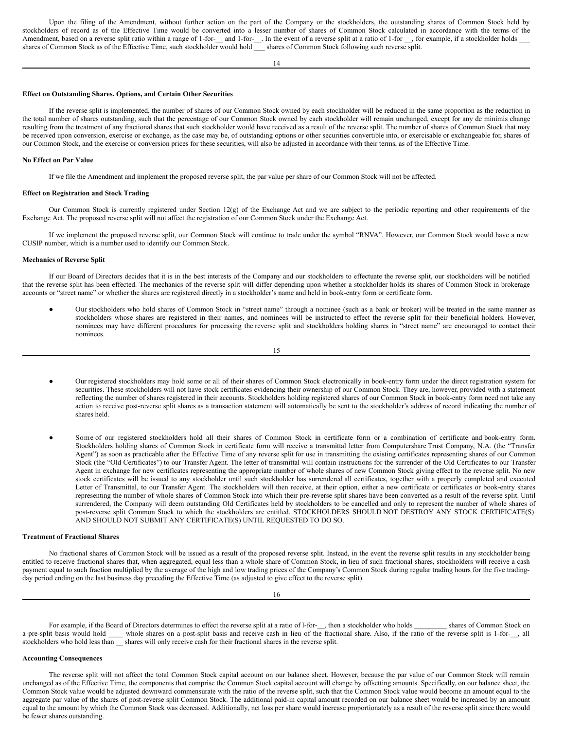Upon the filing of the Amendment, without further action on the part of the Company or the stockholders, the outstanding shares of Common Stock held by stockholders of record as of the Effective Time would be converted into a lesser number of shares of Common Stock calculated in accordance with the terms of the Amendment, based on a reverse split ratio within a range of 1-for-\_\_ and 1-for-\_\_. In the event of a reverse split at a ratio of 1-for \_\_, for example, if a stockholder holds \_\_\_\_ shares of Common Stock as of the Effective Time, such stockholder would hold \_\_\_ shares of Common Stock following such reverse split.

14

#### **Effect on Outstanding Shares, Options, and Certain Other Securities**

If the reverse split is implemented, the number of shares of our Common Stock owned by each stockholder will be reduced in the same proportion as the reduction in the total number of shares outstanding, such that the percentage of our Common Stock owned by each stockholder will remain unchanged, except for any de minimis change resulting from the treatment of any fractional shares that such stockholder would have received as a result of the reverse split. The number of shares of Common Stock that may be received upon conversion, exercise or exchange, as the case may be, of outstanding options or other securities convertible into, or exercisable or exchangeable for, shares of our Common Stock, and the exercise or conversion prices for these securities, will also be adjusted in accordance with their terms, as of the Effective Time.

### **No Effect on Par Value**

If we file the Amendment and implement the proposed reverse split, the par value per share of our Common Stock will not be affected.

#### **Effect on Registration and Stock Trading**

Our Common Stock is currently registered under Section 12(g) of the Exchange Act and we are subject to the periodic reporting and other requirements of the Exchange Act. The proposed reverse split will not affect the registration of our Common Stock under the Exchange Act.

If we implement the proposed reverse split, our Common Stock will continue to trade under the symbol "RNVA". However, our Common Stock would have a new CUSIP number, which is a number used to identify our Common Stock.

## **Mechanics of Reverse Split**

If our Board of Directors decides that it is in the best interests of the Company and our stockholders to effectuate the reverse split, our stockholders will be notified that the reverse split has been effected. The mechanics of the reverse split will differ depending upon whether a stockholder holds its shares of Common Stock in brokerage accounts or "street name" or whether the shares are registered directly in a stockholder's name and held in book-entry form or certificate form.

Our stockholders who hold shares of Common Stock in "street name" through a nominee (such as a bank or broker) will be treated in the same manner as stockholders whose shares are registered in their names, and nominees will be instructed to effect the reverse split for their beneficial holders. However, nominees may have different procedures for processing the reverse split and stockholders holding shares in "street name" are encouraged to contact their nominees.

15

- Our registered stockholders may hold some or all of their shares of Common Stock electronically in book-entry form under the direct registration system for securities. These stockholders will not have stock certificates evidencing their ownership of our Common Stock. They are, however, provided with a statement reflecting the number of shares registered in their accounts. Stockholders holding registered shares of our Common Stock in book-entry form need not take any action to receive post-reverse split shares as a transaction statement will automatically be sent to the stockholder's address of record indicating the number of shares held.
- Some of our registered stockholders hold all their shares of Common Stock in certificate form or a combination of certificate and book-entry form. Stockholders holding shares of Common Stock in certificate form will receive a transmittal letter from Computershare Trust Company, N.A. (the "Transfer Agent") as soon as practicable after the Effective Time of any reverse split for use in transmitting the existing certificates representing shares of our Common Stock (the "Old Certificates") to our Transfer Agent. The letter of transmittal will contain instructions for the surrender of the Old Certificates to our Transfer Agent in exchange for new certificates representing the appropriate number of whole shares of new Common Stock giving effect to the reverse split. No new stock certificates will be issued to any stockholder until such stockholder has surrendered all certificates, together with a properly completed and executed Letter of Transmittal, to our Transfer Agent. The stockholders will then receive, at their option, either a new certificate or certificates or book-entry shares representing the number of whole shares of Common Stock into which their pre-reverse split shares have been converted as a result of the reverse split. Until surrendered, the Company will deem outstanding Old Certificates held by stockholders to be cancelled and only to represent the number of whole shares of post-reverse split Common Stock to which the stockholders are entitled. STOCKHOLDERS SHOULD NOT DESTROY ANY STOCK CERTIFICATE(S) AND SHOULD NOT SUBMIT ANY CERTIFICATE(S) UNTIL REQUESTED TO DO SO.

#### **Treatment of Fractional Shares**

No fractional shares of Common Stock will be issued as a result of the proposed reverse split. Instead, in the event the reverse split results in any stockholder being entitled to receive fractional shares that, when aggregated, equal less than a whole share of Common Stock, in lieu of such fractional shares, stockholders will receive a cash payment equal to such fraction multiplied by the average of the high and low trading prices of the Company's Common Stock during regular trading hours for the five tradingday period ending on the last business day preceding the Effective Time (as adjusted to give effect to the reverse split).

For example, if the Board of Directors determines to effect the reverse split at a ratio of l-for-\_\_, then a stockholder who holds \_\_\_\_\_\_\_\_ shares of Common Stock on a pre-split basis would hold \_\_\_\_ whole shares on a post-split basis and receive cash in lieu of the fractional share. Also, if the ratio of the reverse split is 1-for-\_\_, all stockholders who hold less than \_\_ shares will only receive cash for their fractional shares in the reverse split.

#### **Accounting Consequences**

The reverse split will not affect the total Common Stock capital account on our balance sheet. However, because the par value of our Common Stock will remain unchanged as of the Effective Time, the components that comprise the Common Stock capital account will change by offsetting amounts. Specifically, on our balance sheet, the Common Stock value would be adjusted downward commensurate with the ratio of the reverse split, such that the Common Stock value would become an amount equal to the aggregate par value of the shares of post-reverse split Common Stock. The additional paid-in capital amount recorded on our balance sheet would be increased by an amount equal to the amount by which the Common Stock was decreased. Additionally, net loss per share would increase proportionately as a result of the reverse split since there would be fewer shares outstanding.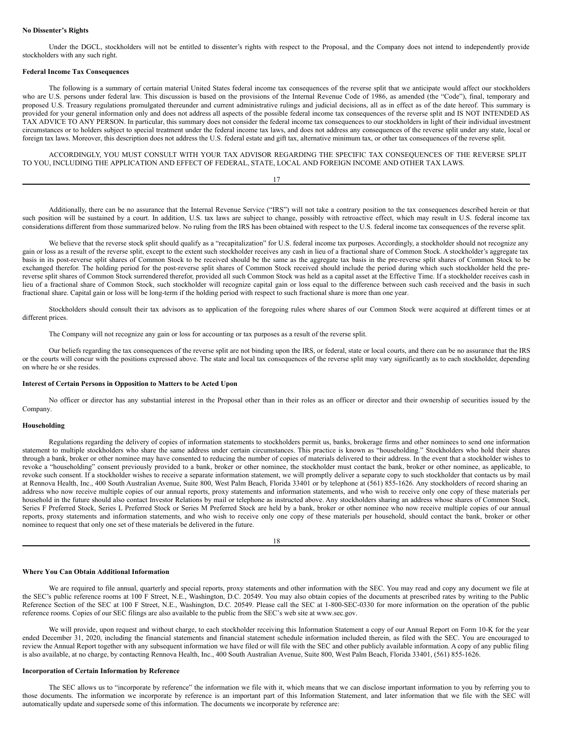# **No Dissenter's Rights**

Under the DGCL, stockholders will not be entitled to dissenter's rights with respect to the Proposal, and the Company does not intend to independently provide stockholders with any such right.

#### **Federal Income Tax Consequences**

The following is a summary of certain material United States federal income tax consequences of the reverse split that we anticipate would affect our stockholders who are U.S. persons under federal law. This discussion is based on the provisions of the Internal Revenue Code of 1986, as amended (the "Code"), final, temporary and proposed U.S. Treasury regulations promulgated thereunder and current administrative rulings and judicial decisions, all as in effect as of the date hereof. This summary is provided for your general information only and does not address all aspects of the possible federal income tax consequences of the reverse split and IS NOT INTENDED AS TAX ADVICE TO ANY PERSON. In particular, this summary does not consider the federal income tax consequences to our stockholders in light of their individual investment circumstances or to holders subject to special treatment under the federal income tax laws, and does not address any consequences of the reverse split under any state, local or foreign tax laws. Moreover, this description does not address the U.S. federal estate and gift tax, alternative minimum tax, or other tax consequences of the reverse split.

ACCORDINGLY, YOU MUST CONSULT WITH YOUR TAX ADVISOR REGARDING THE SPECIFIC TAX CONSEQUENCES OF THE REVERSE SPLIT TO YOU, INCLUDING THE APPLICATION AND EFFECT OF FEDERAL, STATE, LOCAL AND FOREIGN INCOME AND OTHER TAX LAWS.

Additionally, there can be no assurance that the Internal Revenue Service ("IRS") will not take a contrary position to the tax consequences described herein or that such position will be sustained by a court. In addition, U.S. tax laws are subject to change, possibly with retroactive effect, which may result in U.S. federal income tax considerations different from those summarized below. No ruling from the IRS has been obtained with respect to the U.S. federal income tax consequences of the reverse split.

We believe that the reverse stock split should qualify as a "recapitalization" for U.S. federal income tax purposes. Accordingly, a stockholder should not recognize any gain or loss as a result of the reverse split, except to the extent such stockholder receives any cash in lieu of a fractional share of Common Stock. A stockholder's aggregate tax basis in its post-reverse split shares of Common Stock to be received should be the same as the aggregate tax basis in the pre-reverse split shares of Common Stock to be exchanged therefor. The holding period for the post-reverse split shares of Common Stock received should include the period during which such stockholder held the prereverse split shares of Common Stock surrendered therefor, provided all such Common Stock was held as a capital asset at the Effective Time. If a stockholder receives cash in lieu of a fractional share of Common Stock, such stockholder will recognize capital gain or loss equal to the difference between such cash received and the basis in such fractional share. Capital gain or loss will be long-term if the holding period with respect to such fractional share is more than one year.

Stockholders should consult their tax advisors as to application of the foregoing rules where shares of our Common Stock were acquired at different times or at different prices.

The Company will not recognize any gain or loss for accounting or tax purposes as a result of the reverse split.

Our beliefs regarding the tax consequences of the reverse split are not binding upon the IRS, or federal, state or local courts, and there can be no assurance that the IRS or the courts will concur with the positions expressed above. The state and local tax consequences of the reverse split may vary significantly as to each stockholder, depending on where he or she resides.

## **Interest of Certain Persons in Opposition to Matters to be Acted Upon**

No officer or director has any substantial interest in the Proposal other than in their roles as an officer or director and their ownership of securities issued by the Company.

# **Householding**

Regulations regarding the delivery of copies of information statements to stockholders permit us, banks, brokerage firms and other nominees to send one information statement to multiple stockholders who share the same address under certain circumstances. This practice is known as "householding." Stockholders who hold their shares through a bank, broker or other nominee may have consented to reducing the number of copies of materials delivered to their address. In the event that a stockholder wishes to revoke a "householding" consent previously provided to a bank, broker or other nominee, the stockholder must contact the bank, broker or other nominee, as applicable, to revoke such consent. If a stockholder wishes to receive a separate information statement, we will promptly deliver a separate copy to such stockholder that contacts us by mail at Rennova Health, Inc., 400 South Australian Avenue, Suite 800, West Palm Beach, Florida 33401 or by telephone at (561) 855-1626. Any stockholders of record sharing an address who now receive multiple copies of our annual reports, proxy statements and information statements, and who wish to receive only one copy of these materials per household in the future should also contact Investor Relations by mail or telephone as instructed above. Any stockholders sharing an address whose shares of Common Stock, Series F Preferred Stock, Series L Preferred Stock or Series M Preferred Stock are held by a bank, broker or other nominee who now receive multiple copies of our annual reports, proxy statements and information statements, and who wish to receive only one copy of these materials per household, should contact the bank, broker or other nominee to request that only one set of these materials be delivered in the future.

$$
^{18}
$$

# **Where You Can Obtain Additional Information**

We are required to file annual, quarterly and special reports, proxy statements and other information with the SEC. You may read and copy any document we file at the SEC's public reference rooms at 100 F Street, N.E., Washington, D.C. 20549. You may also obtain copies of the documents at prescribed rates by writing to the Public Reference Section of the SEC at 100 F Street, N.E., Washington, D.C. 20549. Please call the SEC at 1-800-SEC-0330 for more information on the operation of the public reference rooms. Copies of our SEC filings are also available to the public from the SEC's web site at www.sec.gov.

We will provide, upon request and without charge, to each stockholder receiving this Information Statement a copy of our Annual Report on Form 10-K for the year ended December 31, 2020, including the financial statements and financial statement schedule information included therein, as filed with the SEC. You are encouraged to review the Annual Report together with any subsequent information we have filed or will file with the SEC and other publicly available information. A copy of any public filing is also available, at no charge, by contacting Rennova Health, Inc., 400 South Australian Avenue, Suite 800, West Palm Beach, Florida 33401, (561) 855-1626.

## **Incorporation of Certain Information by Reference**

The SEC allows us to "incorporate by reference" the information we file with it, which means that we can disclose important information to you by referring you to those documents. The information we incorporate by reference is an important part of this Information Statement, and later information that we file with the SEC will automatically update and supersede some of this information. The documents we incorporate by reference are: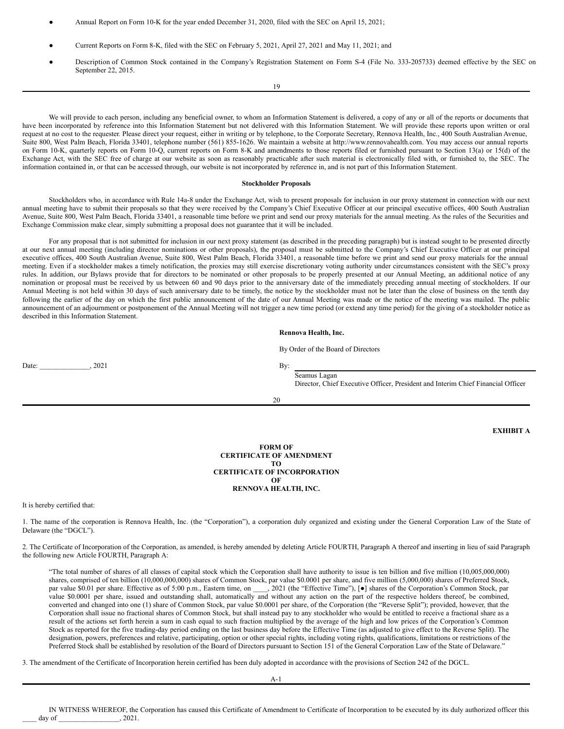- Annual Report on Form 10-K for the year ended December 31, 2020, filed with the SEC on April 15, 2021;
- Current Reports on Form 8-K, filed with the SEC on February 5, 2021, April 27, 2021 and May 11, 2021; and
- Description of Common Stock contained in the Company's Registration Statement on Form S-4 (File No. 333-205733) deemed effective by the SEC on September 22, 2015.

19

We will provide to each person, including any beneficial owner, to whom an Information Statement is delivered, a copy of any or all of the reports or documents that have been incorporated by reference into this Information Statement but not delivered with this Information Statement. We will provide these reports upon written or oral request at no cost to the requester. Please direct your request, either in writing or by telephone, to the Corporate Secretary, Rennova Health, Inc., 400 South Australian Avenue, Suite 800, West Palm Beach, Florida 33401, telephone number (561) 855-1626. We maintain a website at http://www.rennovahealth.com. You may access our annual reports on Form 10-K, quarterly reports on Form 10-Q, current reports on Form 8-K and amendments to those reports filed or furnished pursuant to Section 13(a) or 15(d) of the Exchange Act, with the SEC free of charge at our website as soon as reasonably practicable after such material is electronically filed with, or furnished to, the SEC. The information contained in, or that can be accessed through, our website is not incorporated by reference in, and is not part of this Information Statement.

#### **Stockholder Proposals**

Stockholders who, in accordance with Rule 14a-8 under the Exchange Act, wish to present proposals for inclusion in our proxy statement in connection with our next annual meeting have to submit their proposals so that they were received by the Company's Chief Executive Officer at our principal executive offices, 400 South Australian Avenue, Suite 800, West Palm Beach, Florida 33401, a reasonable time before we print and send our proxy materials for the annual meeting. As the rules of the Securities and Exchange Commission make clear, simply submitting a proposal does not guarantee that it will be included.

For any proposal that is not submitted for inclusion in our next proxy statement (as described in the preceding paragraph) but is instead sought to be presented directly at our next annual meeting (including director nominations or other proposals), the proposal must be submitted to the Company's Chief Executive Officer at our principal executive offices, 400 South Australian Avenue, Suite 800, West Palm Beach, Florida 33401, a reasonable time before we print and send our proxy materials for the annual meeting. Even if a stockholder makes a timely notification, the proxies may still exercise discretionary voting authority under circumstances consistent with the SEC's proxy rules. In addition, our Bylaws provide that for directors to be nominated or other proposals to be properly presented at our Annual Meeting, an additional notice of any nomination or proposal must be received by us between 60 and 90 days prior to the anniversary date of the immediately preceding annual meeting of stockholders. If our Annual Meeting is not held within 30 days of such anniversary date to be timely, the notice by the stockholder must not be later than the close of business on the tenth day following the earlier of the day on which the first public announcement of the date of our Annual Meeting was made or the notice of the meeting was mailed. The public announcement of an adjournment or postponement of the Annual Meeting will not trigger a new time period (or extend any time period) for the giving of a stockholder notice as described in this Information Statement.

# **Rennova Health, Inc.**

By Order of the Board of Directors

Date: \_\_\_\_\_\_\_\_\_\_\_\_\_, 2021 By:

Seamus Lagan

Director, Chief Executive Officer, President and Interim Chief Financial Officer

20

**EXHIBIT A**

**FORM OF CERTIFICATE OF AMENDMENT TO CERTIFICATE OF INCORPORATION OF RENNOVA HEALTH, INC.**

It is hereby certified that:

1. The name of the corporation is Rennova Health, Inc. (the "Corporation"), a corporation duly organized and existing under the General Corporation Law of the State of Delaware (the "DGCL").

2. The Certificate of Incorporation of the Corporation, as amended, is hereby amended by deleting Article FOURTH, Paragraph A thereof and inserting in lieu of said Paragraph the following new Article FOURTH, Paragraph A:

"The total number of shares of all classes of capital stock which the Corporation shall have authority to issue is ten billion and five million (10,005,000,000) shares, comprised of ten billion (10,000,000,000) shares of Common Stock, par value \$0.0001 per share, and five million (5,000,000) shares of Preferred Stock, par value \$0.01 per share. Effective as of 5:00 p.m., Eastern time, on \_\_\_\_, 2021 (the "Effective Time"), [ $\bullet$ ] shares of the Corporation's Common Stock, par value \$0.0001 per share, issued and outstanding shall, automatically and without any action on the part of the respective holders thereof, be combined, converted and changed into one (1) share of Common Stock, par value \$0.0001 per share, of the Corporation (the "Reverse Split"); provided, however, that the Corporation shall issue no fractional shares of Common Stock, but shall instead pay to any stockholder who would be entitled to receive a fractional share as a result of the actions set forth herein a sum in cash equal to such fraction multiplied by the average of the high and low prices of the Corporation's Common Stock as reported for the five trading-day period ending on the last business day before the Effective Time (as adjusted to give effect to the Reverse Split). The designation, powers, preferences and relative, participating, option or other special rights, including voting rights, qualifications, limitations or restrictions of the Preferred Stock shall be established by resolution of the Board of Directors pursuant to Section 151 of the General Corporation Law of the State of Delaware."

3. The amendment of the Certificate of Incorporation herein certified has been duly adopted in accordance with the provisions of Section 242 of the DGCL.

A-1

IN WITNESS WHEREOF, the Corporation has caused this Certificate of Amendment to Certificate of Incorporation to be executed by its duly authorized officer this day of \_\_\_\_\_\_\_\_\_\_\_\_\_\_\_\_\_\_\_\_\_, 2021.